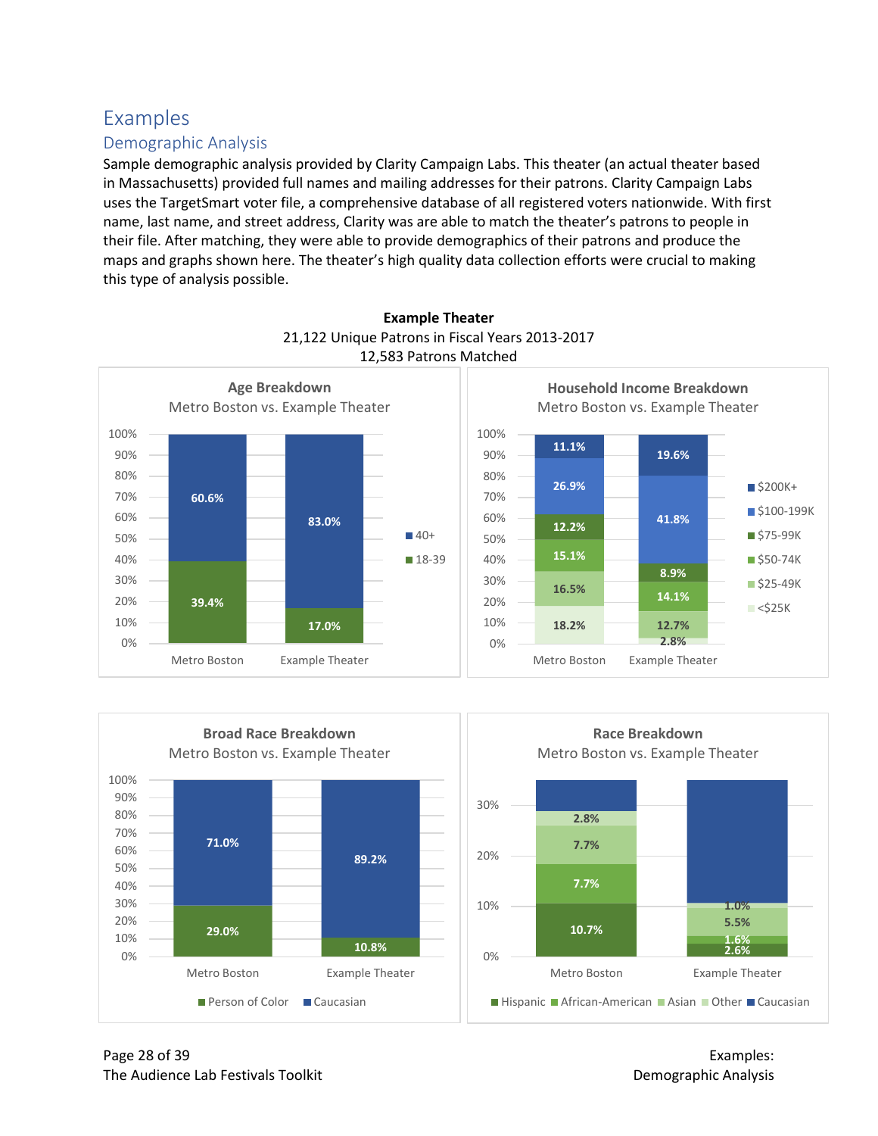## Examples

## Demographic Analysis

Sample demographic analysis provided by Clarity Campaign Labs. This theater (an actual theater based in Massachusetts) provided full names and mailing addresses for their patrons. Clarity Campaign Labs uses the TargetSmart voter file, a comprehensive database of all registered voters nationwide. With first name, last name, and street address, Clarity was are able to match the theater's patrons to people in their file. After matching, they were able to provide demographics of their patrons and produce the maps and graphs shown here. The theater's high quality data collection efforts were crucial to making this type of analysis possible.



## **Example Theater** 21,122 Unique Patrons in Fiscal Years 2013-2017 12,583 Patrons Matched